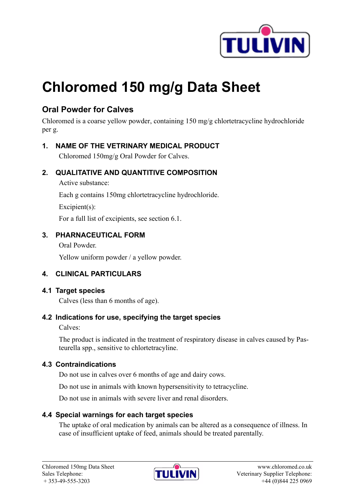

# **Chloromed 150 mg/g Data Sheet**

# **Oral Powder for Calves**

Chloromed is a coarse yellow powder, containing 150 mg/g chlortetracycline hydrochloride per g.

# **1. NAME OF THE VETRINARY MEDICAL PRODUCT**

Chloromed 150mg/g Oral Powder for Calves.

## **2. QUALITATIVE AND QUANTITIVE COMPOSITION**

Active substance:

Each g contains 150mg chlortetracycline hydrochloride.

Excipient(s):

For a full list of excipients, see section 6.1.

# **3. PHARNACEUTICAL FORM**

Oral Powder.

Yellow uniform powder / a yellow powder.

# **4. CLINICAL PARTICULARS**

# **4.1 Target species**

Calves (less than 6 months of age).

# **4.2 Indications for use, specifying the target species**

Calves:

The product is indicated in the treatment of respiratory disease in calves caused by Pasteurella spp., sensitive to chlortetracyline.

#### **4.3 Contraindications**

Do not use in calves over 6 months of age and dairy cows.

Do not use in animals with known hypersensitivity to tetracycline.

Do not use in animals with severe liver and renal disorders.

# **4.4 Special warnings for each target species**

The uptake of oral medication by animals can be altered as a consequence of illness. In case of insufficient uptake of feed, animals should be treated parentally.

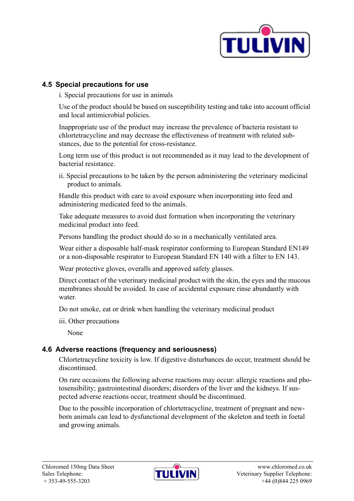

#### **4.5 Special precautions for use**

i. Special precautions for use in animals

Use of the product should be based on susceptibility testing and take into account official and local antimicrobial policies.

Inappropriate use of the product may increase the prevalence of bacteria resistant to chlortetracycline and may decrease the effectiveness of treatment with related substances, due to the potential for cross-resistance.

Long term use of this product is not recommended as it may lead to the development of bacterial resistance.

ii. Special precautions to be taken by the person administering the veterinary medicinal product to animals.

Handle this product with care to avoid exposure when incorporating into feed and administering medicated feed to the animals.

Take adequate measures to avoid dust formation when incorporating the veterinary medicinal product into feed.

Persons handling the product should do so in a mechanically ventilated area.

Wear either a disposable half-mask respirator conforming to European Standard EN149 or a non-disposable respirator to European Standard EN 140 with a filter to EN 143.

Wear protective gloves, overalls and approved safety glasses.

Direct contact of the veterinary medicinal product with the skin, the eyes and the mucous membranes should be avoided. In case of accidental exposure rinse abundantly with water.

Do not smoke, eat or drink when handling the veterinary medicinal product

iii. Other precautions

None

#### **4.6 Adverse reactions (frequency and seriousness)**

Chlortetracycline toxicity is low. If digestive disturbances do occur, treatment should be discontinued.

On rare occasions the following adverse reactions may occur: allergic reactions and photosensibility; gastrointestinal disorders; disorders of the liver and the kidneys. If suspected adverse reactions occur, treatment should be discontinued.

Due to the possible incorporation of chlortetracycline, treatment of pregnant and newborn animals can lead to dysfunctional development of the skeleton and teeth in foetal and growing animals.

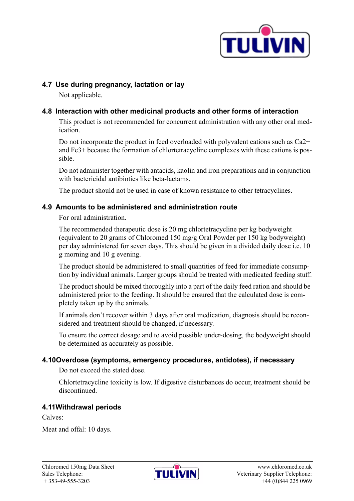

#### **4.7 Use during pregnancy, lactation or lay**

Not applicable.

# **4.8 Interaction with other medicinal products and other forms of interaction**

This product is not recommended for concurrent administration with any other oral medication.

Do not incorporate the product in feed overloaded with polyvalent cations such as Ca2+ and Fe3+ because the formation of chlortetracycline complexes with these cations is possible.

Do not administer together with antacids, kaolin and iron preparations and in conjunction with bactericidal antibiotics like beta-lactams.

The product should not be used in case of known resistance to other tetracyclines.

#### **4.9 Amounts to be administered and administration route**

For oral administration.

The recommended therapeutic dose is 20 mg chlortetracycline per kg bodyweight (equivalent to 20 grams of Chloromed 150 mg/g Oral Powder per 150 kg bodyweight) per day administered for seven days. This should be given in a divided daily dose i.e. 10 g morning and 10 g evening.

The product should be administered to small quantities of feed for immediate consumption by individual animals. Larger groups should be treated with medicated feeding stuff.

The product should be mixed thoroughly into a part of the daily feed ration and should be administered prior to the feeding. It should be ensured that the calculated dose is completely taken up by the animals.

If animals don't recover within 3 days after oral medication, diagnosis should be reconsidered and treatment should be changed, if necessary.

To ensure the correct dosage and to avoid possible under-dosing, the bodyweight should be determined as accurately as possible.

# **4.10Overdose (symptoms, emergency procedures, antidotes), if necessary**

Do not exceed the stated dose.

Chlortetracycline toxicity is low. If digestive disturbances do occur, treatment should be discontinued.

# **4.11Withdrawal periods**

Calves:

Meat and offal: 10 days.

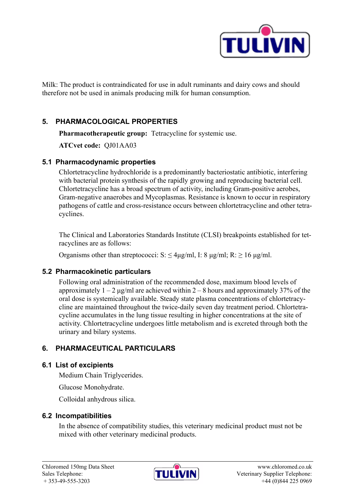

Milk: The product is contraindicated for use in adult ruminants and dairy cows and should therefore not be used in animals producing milk for human consumption.

# **5. PHARMACOLOGICAL PROPERTIES**

**Pharmacotherapeutic group:** Tetracycline for systemic use.

**ATCvet code:** QJ01AA03

## **5.1 Pharmacodynamic properties**

Chlortetracycline hydrochloride is a predominantly bacteriostatic antibiotic, interfering with bacterial protein synthesis of the rapidly growing and reproducing bacterial cell. Chlortetracycline has a broad spectrum of activity, including Gram-positive aerobes, Gram-negative anaerobes and Mycoplasmas. Resistance is known to occur in respiratory pathogens of cattle and cross-resistance occurs between chlortetracycline and other tetracyclines.

The Clinical and Laboratories Standards Institute (CLSI) breakpoints established for tetracyclines are as follows:

Organisms other than streptococci: S:  $\leq$  4μg/ml, I: 8 μg/ml; R:  $\geq$  16 μg/ml.

#### **5.2 Pharmacokinetic particulars**

Following oral administration of the recommended dose, maximum blood levels of approximately  $1 - 2 \mu g/m$  are achieved within  $2 - 8$  hours and approximately 37% of the oral dose is systemically available. Steady state plasma concentrations of chlortetracycline are maintained throughout the twice-daily seven day treatment period. Chlortetracycline accumulates in the lung tissue resulting in higher concentrations at the site of activity. Chlortetracycline undergoes little metabolism and is excreted through both the urinary and bilary systems.

# **6. PHARMACEUTICAL PARTICULARS**

#### **6.1 List of excipients**

Medium Chain Triglycerides.

Glucose Monohydrate.

Colloidal anhydrous silica.

#### **6.2 Incompatibilities**

In the absence of compatibility studies, this veterinary medicinal product must not be mixed with other veterinary medicinal products.